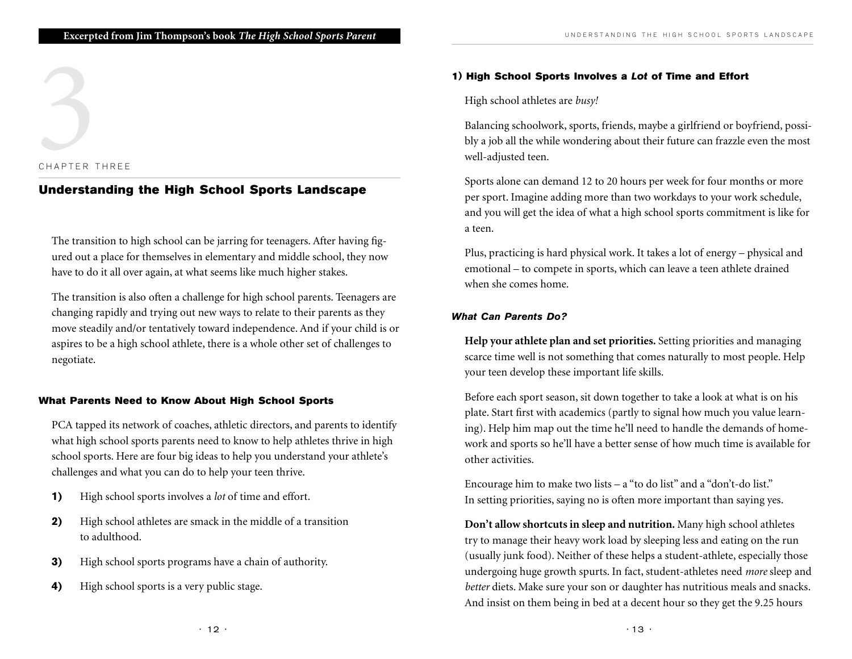# CHAPTER THREE CHAPTER T

# Understanding the High School Sports Landscape

The transition to high school can be jarring for teenagers. After having figured out a place for themselves in elementary and middle school, they now have to do it all over again, at what seems like much higher stakes.

The transition is also often a challenge for high school parents. Teenagers are changing rapidly and trying out new ways to relate to their parents as they move steadily and/or tentatively toward independence. And if your child is or aspires to be a high school athlete, there is a whole other set of challenges to negotiate.

### What Parents Need to Know About High School Sports

PCA tapped its network of coaches, athletic directors, and parents to identify what high school sports parents need to know to help athletes thrive in high school sports. Here are four big ideas to help you understand your athlete's challenges and what you can do to help your teen thrive.

- 1) High school sports involves a *lot* of time and effort.
- **2)** High school athletes are smack in the middle of a transition to adulthood.
- 3) High school sports programs have a chain of authority.
- 4) High school sports is a very public stage.

### 1) High School Sports Involves a Lot of Time and Effort

High school athletes are *busy!*

Balancing schoolwork, sports, friends, maybe a girlfriend or boyfriend, possibly a job all the while wondering about their future can frazzle even the most well-adjusted teen.

Sports alone can demand 12 to 20 hours per week for four months or more per sport. Imagine adding more than two workdays to your work schedule, and you will get the idea of what a high school sports commitment is like for a teen.

Plus, practicing is hard physical work. It takes a lot of energy – physical and emotional – to compete in sports, which can leave a teen athlete drained when she comes home.

### What Can Parents Do?

**Help your athlete plan and set priorities.** Setting priorities and managing scarce time well is not something that comes naturally to most people. Help your teen develop these important life skills.

Before each sport season, sit down together to take a look at what is on his plate. Start first with academics (partly to signal how much you value learning). Help him map out the time he'll need to handle the demands of homework and sports so he'll have a better sense of how much time is available for other activities.

Encourage him to make two lists – a "to do list" and a "don't-do list." In setting priorities, saying no is often more important than saying yes.

**Don't allow shortcuts in sleep and nutrition.** Many high school athletes try to manage their heavy work load by sleeping less and eating on the run (usually junk food). Neither of these helps a student-athlete, especially those undergoing huge growth spurts. In fact, student-athletes need *more* sleep and *better* diets. Make sure your son or daughter has nutritious meals and snacks. And insist on them being in bed at a decent hour so they get the 9.25 hours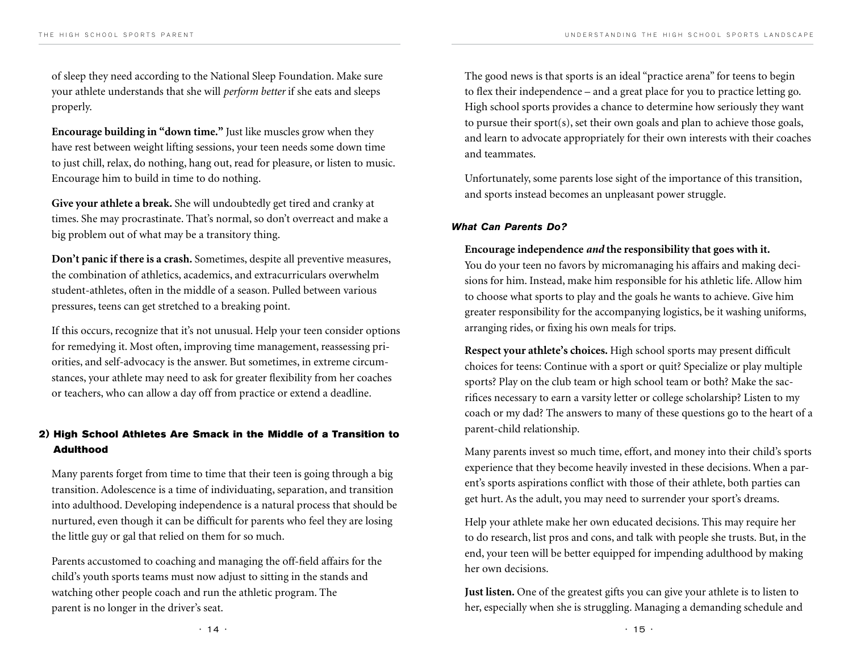of sleep they need according to the National Sleep Foundation. Make sure your athlete understands that she will *perform better* if she eats and sleeps properly.

**Encourage building in "down time."** Just like muscles grow when they have rest between weight lifting sessions, your teen needs some down time to just chill, relax, do nothing, hang out, read for pleasure, or listen to music. Encourage him to build in time to do nothing.

**Give your athlete a break.** She will undoubtedly get tired and cranky at times. She may procrastinate. That's normal, so don't overreact and make a big problem out of what may be a transitory thing.

**Don't panic if there is a crash.** Sometimes, despite all preventive measures, the combination of athletics, academics, and extracurriculars overwhelm student-athletes, often in the middle of a season. Pulled between various pressures, teens can get stretched to a breaking point.

If this occurs, recognize that it's not unusual. Help your teen consider options for remedying it. Most often, improving time management, reassessing priorities, and self-advocacy is the answer. But sometimes, in extreme circumstances, your athlete may need to ask for greater flexibility from her coaches or teachers, who can allow a day off from practice or extend a deadline.

## 2) High School Athletes Are Smack in the Middle of a Transition to Adulthood

Many parents forget from time to time that their teen is going through a big transition. Adolescence is a time of individuating, separation, and transition into adulthood. Developing independence is a natural process that should be nurtured, even though it can be difficult for parents who feel they are losing the little guy or gal that relied on them for so much.

Parents accustomed to coaching and managing the off-field affairs for the child's youth sports teams must now adjust to sitting in the stands and watching other people coach and run the athletic program. The parent is no longer in the driver's seat.

The good news is that sports is an ideal "practice arena" for teens to begin to flex their independence – and a great place for you to practice letting go. High school sports provides a chance to determine how seriously they want to pursue their sport(s), set their own goals and plan to achieve those goals, and learn to advocate appropriately for their own interests with their coaches and teammates.

Unfortunately, some parents lose sight of the importance of this transition, and sports instead becomes an unpleasant power struggle.

### What Can Parents Do?

### **Encourage independence** *and* **the responsibility that goes with it.**

You do your teen no favors by micromanaging his affairs and making decisions for him. Instead, make him responsible for his athletic life. Allow him to choose what sports to play and the goals he wants to achieve. Give him greater responsibility for the accompanying logistics, be it washing uniforms, arranging rides, or fixing his own meals for trips.

**Respect your athlete's choices.** High school sports may present difficult choices for teens: Continue with a sport or quit? Specialize or play multiple sports? Play on the club team or high school team or both? Make the sacrifices necessary to earn a varsity letter or college scholarship? Listen to my coach or my dad? The answers to many of these questions go to the heart of a parent-child relationship.

Many parents invest so much time, effort, and money into their child's sports experience that they become heavily invested in these decisions. When a parent's sports aspirations conflict with those of their athlete, both parties can get hurt. As the adult, you may need to surrender your sport's dreams.

Help your athlete make her own educated decisions. This may require her to do research, list pros and cons, and talk with people she trusts. But, in the end, your teen will be better equipped for impending adulthood by making her own decisions.

**Just listen.** One of the greatest gifts you can give your athlete is to listen to her, especially when she is struggling. Managing a demanding schedule and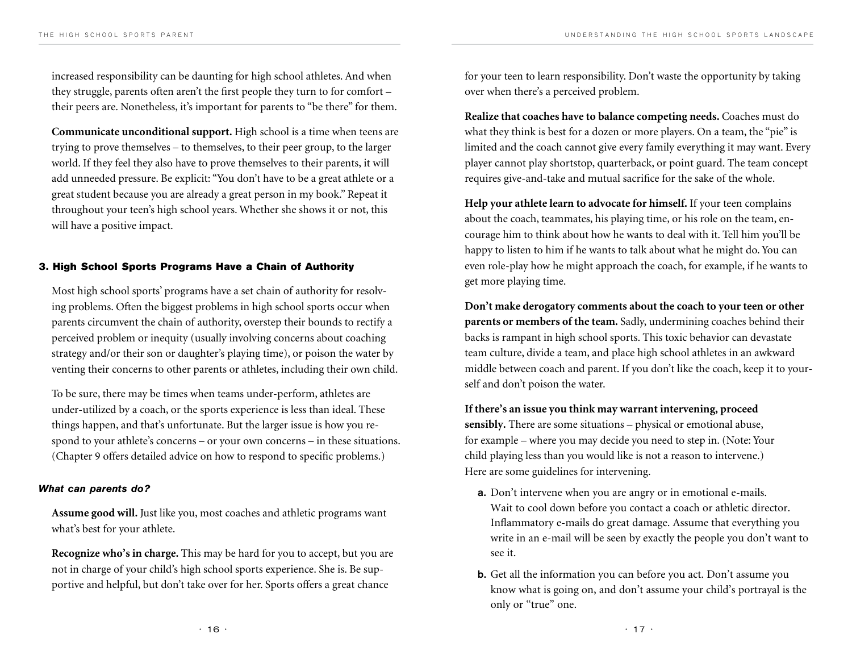increased responsibility can be daunting for high school athletes. And when they struggle, parents often aren't the first people they turn to for comfort – their peers are. Nonetheless, it's important for parents to "be there" for them.

**Communicate unconditional support.** High school is a time when teens are trying to prove themselves – to themselves, to their peer group, to the larger world. If they feel they also have to prove themselves to their parents, it will add unneeded pressure. Be explicit: "You don't have to be a great athlete or a great student because you are already a great person in my book." Repeat it throughout your teen's high school years. Whether she shows it or not, this will have a positive impact.

### 3. High School Sports Programs Have a Chain of Authority

Most high school sports' programs have a set chain of authority for resolving problems. Often the biggest problems in high school sports occur when parents circumvent the chain of authority, overstep their bounds to rectify a perceived problem or inequity (usually involving concerns about coaching strategy and/or their son or daughter's playing time), or poison the water by venting their concerns to other parents or athletes, including their own child.

To be sure, there may be times when teams under-perform, athletes are under-utilized by a coach, or the sports experience is less than ideal. These things happen, and that's unfortunate. But the larger issue is how you respond to your athlete's concerns – or your own concerns – in these situations. (Chapter 9 offers detailed advice on how to respond to specific problems.)

### What can parents do?

**Assume good will.** Just like you, most coaches and athletic programs want what's best for your athlete.

**Recognize who's in charge.** This may be hard for you to accept, but you are not in charge of your child's high school sports experience. She is. Be supportive and helpful, but don't take over for her. Sports offers a great chance

for your teen to learn responsibility. Don't waste the opportunity by taking over when there's a perceived problem.

**Realize that coaches have to balance competing needs.** Coaches must do what they think is best for a dozen or more players. On a team, the "pie" is limited and the coach cannot give every family everything it may want. Every player cannot play shortstop, quarterback, or point guard. The team concept requires give-and-take and mutual sacrifice for the sake of the whole.

**Help your athlete learn to advocate for himself.** If your teen complains about the coach, teammates, his playing time, or his role on the team, encourage him to think about how he wants to deal with it. Tell him you'll be happy to listen to him if he wants to talk about what he might do. You can even role-play how he might approach the coach, for example, if he wants to get more playing time.

**Don't make derogatory comments about the coach to your teen or other parents or members of the team.** Sadly, undermining coaches behind their backs is rampant in high school sports. This toxic behavior can devastate team culture, divide a team, and place high school athletes in an awkward middle between coach and parent. If you don't like the coach, keep it to yourself and don't poison the water.

**If there's an issue you think may warrant intervening, proceed** 

**sensibly.** There are some situations – physical or emotional abuse, for example – where you may decide you need to step in. (Note: Your child playing less than you would like is not a reason to intervene.) Here are some guidelines for intervening.

- a. Don't intervene when you are angry or in emotional e-mails. Wait to cool down before you contact a coach or athletic director. Inflammatory e-mails do great damage. Assume that everything you write in an e-mail will be seen by exactly the people you don't want to see it.
- b. Get all the information you can before you act. Don't assume you know what is going on, and don't assume your child's portrayal is the only or "true" one.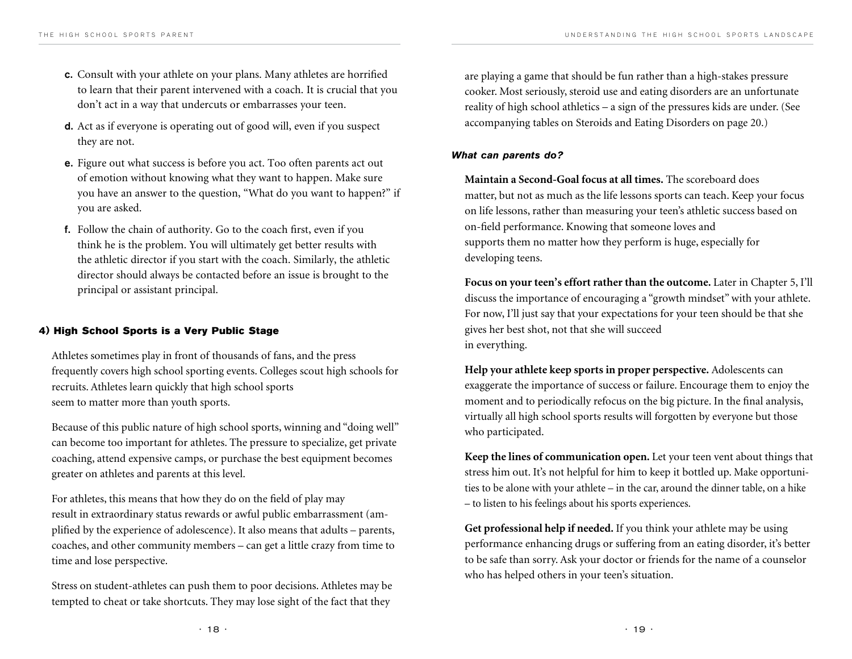- c. Consult with your athlete on your plans. Many athletes are horrified to learn that their parent intervened with a coach. It is crucial that you don't act in a way that undercuts or embarrasses your teen.
- d. Act as if everyone is operating out of good will, even if you suspect they are not.
- e. Figure out what success is before you act. Too often parents act out of emotion without knowing what they want to happen. Make sure you have an answer to the question, "What do you want to happen?" if you are asked.
- f. Follow the chain of authority. Go to the coach first, even if you think he is the problem. You will ultimately get better results with the athletic director if you start with the coach. Similarly, the athletic director should always be contacted before an issue is brought to the principal or assistant principal.

### 4) High School Sports is a Very Public Stage

Athletes sometimes play in front of thousands of fans, and the press frequently covers high school sporting events. Colleges scout high schools for recruits. Athletes learn quickly that high school sports seem to matter more than youth sports.

Because of this public nature of high school sports, winning and "doing well" can become too important for athletes. The pressure to specialize, get private coaching, attend expensive camps, or purchase the best equipment becomes greater on athletes and parents at this level.

For athletes, this means that how they do on the field of play may result in extraordinary status rewards or awful public embarrassment (amplified by the experience of adolescence). It also means that adults – parents, coaches, and other community members – can get a little crazy from time to time and lose perspective.

Stress on student-athletes can push them to poor decisions. Athletes may be tempted to cheat or take shortcuts. They may lose sight of the fact that they

are playing a game that should be fun rather than a high-stakes pressure cooker. Most seriously, steroid use and eating disorders are an unfortunate reality of high school athletics – a sign of the pressures kids are under. (See accompanying tables on Steroids and Eating Disorders on page 20.)

### What can parents do?

**Maintain a Second-Goal focus at all times.** The scoreboard does matter, but not as much as the life lessons sports can teach. Keep your focus on life lessons, rather than measuring your teen's athletic success based on on-field performance. Knowing that someone loves and supports them no matter how they perform is huge, especially for developing teens.

**Focus on your teen's effort rather than the outcome.** Later in Chapter 5, I'll discuss the importance of encouraging a "growth mindset" with your athlete. For now, I'll just say that your expectations for your teen should be that she gives her best shot, not that she will succeed in everything.

**Help your athlete keep sports in proper perspective.** Adolescents can exaggerate the importance of success or failure. Encourage them to enjoy the moment and to periodically refocus on the big picture. In the final analysis, virtually all high school sports results will forgotten by everyone but those who participated.

**Keep the lines of communication open.** Let your teen vent about things that stress him out. It's not helpful for him to keep it bottled up. Make opportunities to be alone with your athlete – in the car, around the dinner table, on a hike – to listen to his feelings about his sports experiences.

**Get professional help if needed.** If you think your athlete may be using performance enhancing drugs or suffering from an eating disorder, it's better to be safe than sorry. Ask your doctor or friends for the name of a counselor who has helped others in your teen's situation.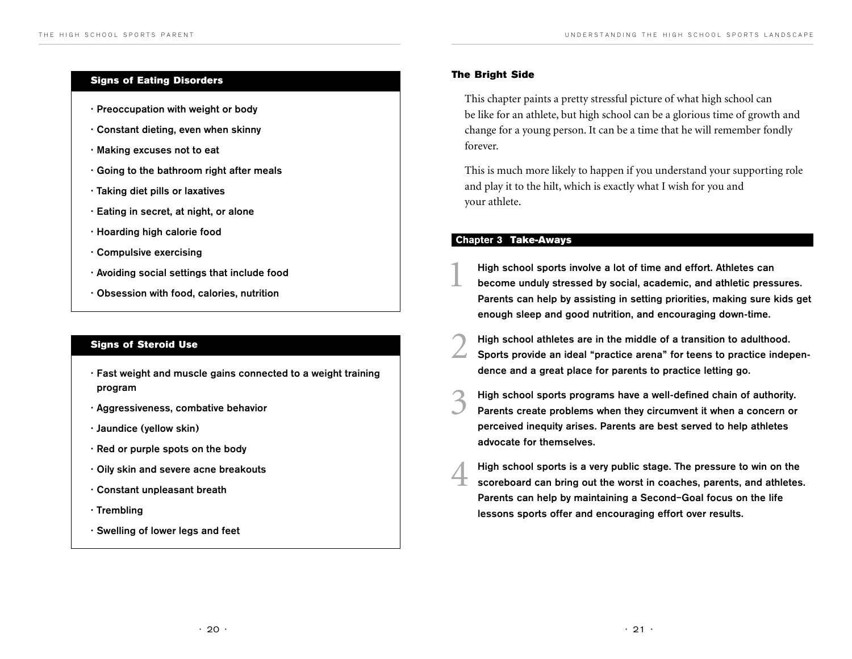### Signs of Eating Disorders

- Preoccupation with weight or body
- Constant dieting, even when skinny
- Making excuses not to eat
- Going to the bathroom right after meals
- Taking diet pills or laxatives
- Eating in secret, at night, or alone
- Hoarding high calorie food
- Compulsive exercising
- Avoiding social settings that include food
- Obsession with food, calories, nutrition

### Signs of Steroid Use

- Fast weight and muscle gains connected to a weight training program
- Aggressiveness, combative behavior
- Jaundice (yellow skin)
- Red or purple spots on the body
- Oily skin and severe acne breakouts
- Constant unpleasant breath
- Trembling
- Swelling of lower legs and feet

### The Bright Side

This chapter paints a pretty stressful picture of what high school can be like for an athlete, but high school can be a glorious time of growth and change for a young person. It can be a time that he will remember fondly forever.

This is much more likely to happen if you understand your supporting role and play it to the hilt, which is exactly what I wish for you and your athlete.

### Chapter 3 Take-Aways

- High school sports involve a lot of time and effort. Athletes can<br>become unduly stressed by social, academic, and athletic pressures. Parents can help by assisting in setting priorities, making sure kids get enough sleep and good nutrition, and encouraging down-time.
- 2 High school athletes are in the middle of <sup>a</sup> transition to adulthood. Sports provide an ideal "practice arena" for teens to practice independence and a great place for parents to practice letting go.
- 3 High school sports programs have <sup>a</sup> well-defined chain of authority. Parents create problems when they circumvent it when a concern or perceived inequity arises. Parents are best served to help athletes advocate for themselves.
	- High school sports is a very public stage. The pressure to win on the scoreboard can bring out the worst in coaches, parents, and athletes. Parents can help by maintaining a Second–Goal focus on the life lessons sports offer and encouraging effort over results.